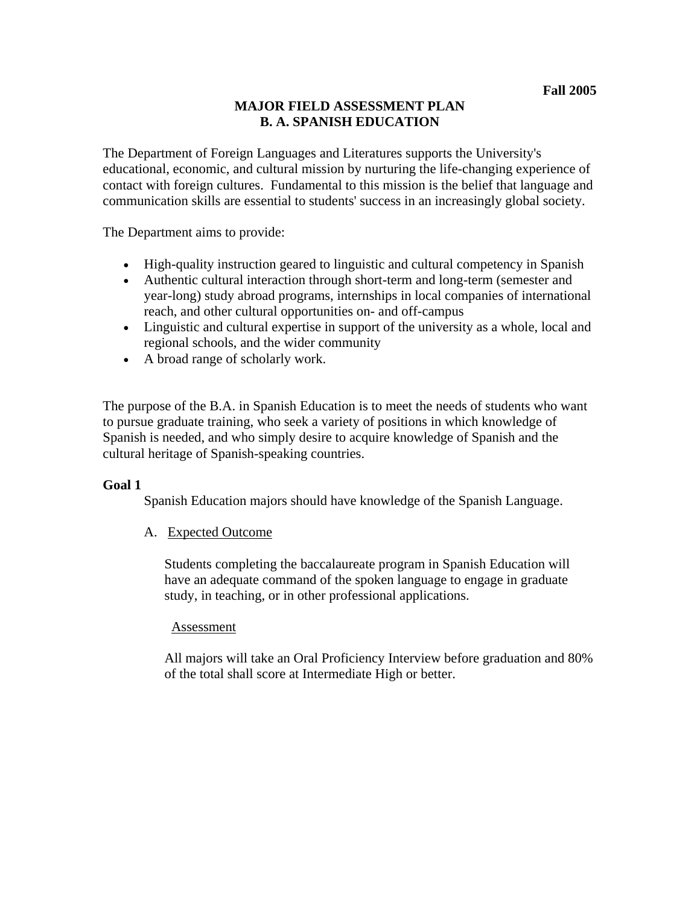# **MAJOR FIELD ASSESSMENT PLAN B. A. SPANISH EDUCATION**

The Department of Foreign Languages and Literatures supports the University's educational, economic, and cultural mission by nurturing the life-changing experience of contact with foreign cultures. Fundamental to this mission is the belief that language and communication skills are essential to students' success in an increasingly global society.

The Department aims to provide:

- High-quality instruction geared to linguistic and cultural competency in Spanish
- Authentic cultural interaction through short-term and long-term (semester and year-long) study abroad programs, internships in local companies of international reach, and other cultural opportunities on- and off-campus
- Linguistic and cultural expertise in support of the university as a whole, local and regional schools, and the wider community
- A broad range of scholarly work.

The purpose of the B.A. in Spanish Education is to meet the needs of students who want to pursue graduate training, who seek a variety of positions in which knowledge of Spanish is needed, and who simply desire to acquire knowledge of Spanish and the cultural heritage of Spanish-speaking countries.

## **Goal 1**

Spanish Education majors should have knowledge of the Spanish Language.

## A. Expected Outcome

Students completing the baccalaureate program in Spanish Education will have an adequate command of the spoken language to engage in graduate study, in teaching, or in other professional applications.

#### Assessment

All majors will take an Oral Proficiency Interview before graduation and 80% of the total shall score at Intermediate High or better.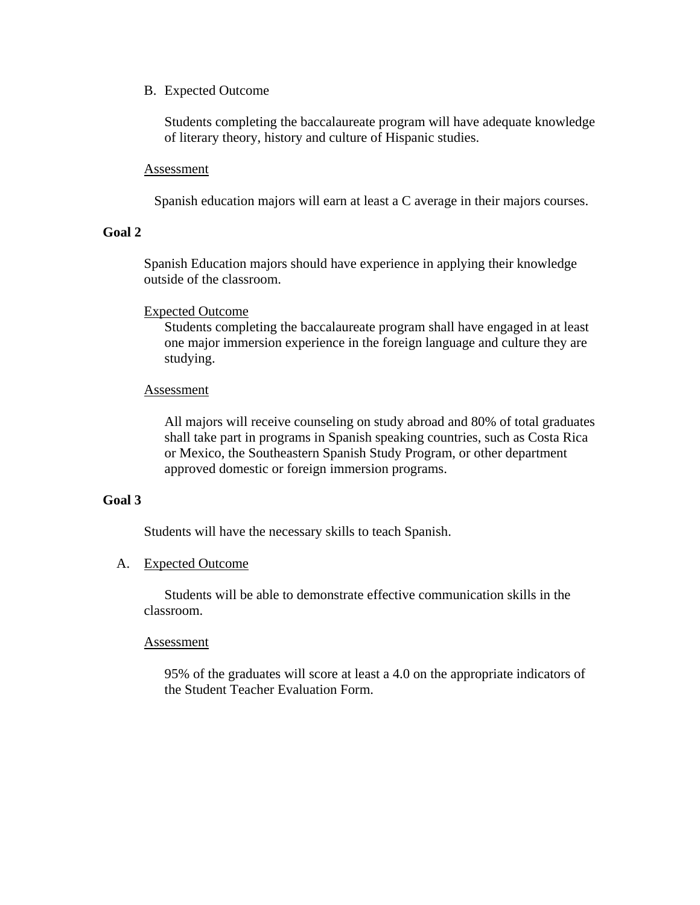B. Expected Outcome

Students completing the baccalaureate program will have adequate knowledge of literary theory, history and culture of Hispanic studies.

### Assessment

Spanish education majors will earn at least a C average in their majors courses.

### **Goal 2**

Spanish Education majors should have experience in applying their knowledge outside of the classroom.

### Expected Outcome

Students completing the baccalaureate program shall have engaged in at least one major immersion experience in the foreign language and culture they are studying.

### Assessment

All majors will receive counseling on study abroad and 80% of total graduates shall take part in programs in Spanish speaking countries, such as Costa Rica or Mexico, the Southeastern Spanish Study Program, or other department approved domestic or foreign immersion programs.

## **Goal 3**

Students will have the necessary skills to teach Spanish.

#### A. Expected Outcome

 Students will be able to demonstrate effective communication skills in the classroom.

#### Assessment

95% of the graduates will score at least a 4.0 on the appropriate indicators of the Student Teacher Evaluation Form.